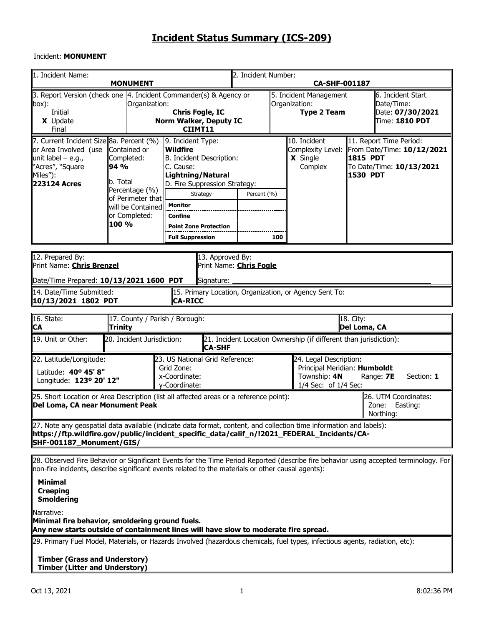#### Incident: **MONUMENT**

| 1. Incident Name:                                                                                                                                                                                                                              | <b>MONUMENT</b>                                                                                             |                                                                                                                                                            |             | 2. Incident Number:<br><b>CA-SHF-001187</b>                   |                                                                                                                           |                                                                         |                                                                                                                                       |  |  |  |
|------------------------------------------------------------------------------------------------------------------------------------------------------------------------------------------------------------------------------------------------|-------------------------------------------------------------------------------------------------------------|------------------------------------------------------------------------------------------------------------------------------------------------------------|-------------|---------------------------------------------------------------|---------------------------------------------------------------------------------------------------------------------------|-------------------------------------------------------------------------|---------------------------------------------------------------------------------------------------------------------------------------|--|--|--|
| 3. Report Version (check one   4. Incident Commander(s) & Agency or<br>$\ $ box):<br>Initial<br>X Update<br>Final                                                                                                                              | Organization:                                                                                               | <b>Chris Fogle, IC</b><br>Norm Walker, Deputy IC<br>CIIMT11                                                                                                |             | 5. Incident Management<br>Organization:<br><b>Type 2 Team</b> |                                                                                                                           | ll6. Incident Start<br>Date/Time:<br>Date: 07/30/2021<br>Time: 1810 PDT |                                                                                                                                       |  |  |  |
| 7. Current Incident Size 8a. Percent (%)<br>or Area Involved (use<br>unit label – e.g.,<br>'Acres", "Square<br>Miles"):<br>223124 Acres                                                                                                        | Contained or<br>Completed:<br>94 %<br>lb. Total<br>Percentage (%)<br>of Perimeter that<br>will be Contained | 9. Incident Type:<br>Wildfire<br>B. Incident Description:<br>C. Cause:<br>Lightning/Natural<br>D. Fire Suppression Strategy:<br>Strategy<br><b>Monitor</b> | Percent (%) |                                                               | 10. Incident<br>Complexity Level:<br>X Single<br>Complex                                                                  | 1815 PDT<br>1530 PDT                                                    | 11. Report Time Period:<br>From Date/Time: 10/12/2021<br>To Date/Time: 10/13/2021                                                     |  |  |  |
|                                                                                                                                                                                                                                                | or Completed:<br>100 %                                                                                      | Confine<br><b>Point Zone Protection</b><br><b>Full Suppression</b>                                                                                         |             | 100                                                           |                                                                                                                           |                                                                         |                                                                                                                                       |  |  |  |
| 12. Prepared By:<br>Print Name: Chris Brenzel<br>Date/Time Prepared: 10/13/2021 1600 PDT<br>14. Date/Time Submitted:                                                                                                                           |                                                                                                             | 13. Approved By:<br>Print Name: Chris Fogle<br>Signature:<br>15. Primary Location, Organization, or Agency Sent To:                                        |             |                                                               |                                                                                                                           |                                                                         |                                                                                                                                       |  |  |  |
| 10/13/2021 1802 PDT                                                                                                                                                                                                                            |                                                                                                             | <b>CA-RICC</b>                                                                                                                                             |             |                                                               |                                                                                                                           |                                                                         |                                                                                                                                       |  |  |  |
| 16. State:<br><u> CA</u>                                                                                                                                                                                                                       | 17. County / Parish / Borough:<br>Trinity                                                                   |                                                                                                                                                            |             |                                                               |                                                                                                                           | 18. City:<br>Del Loma, CA                                               |                                                                                                                                       |  |  |  |
| 19. Unit or Other:                                                                                                                                                                                                                             | 20. Incident Jurisdiction:                                                                                  | <b>CA-SHF</b>                                                                                                                                              |             |                                                               | 21. Incident Location Ownership (if different than jurisdiction):                                                         |                                                                         |                                                                                                                                       |  |  |  |
| 22. Latitude/Longitude:<br>Latitude: 40° 45' 8"<br>Longitude: 123º 20' 12"                                                                                                                                                                     |                                                                                                             | 23. US National Grid Reference:<br>Grid Zone:<br>x-Coordinate:<br>y-Coordinate:                                                                            |             |                                                               | 24. Legal Description:<br>Principal Meridian: Humboldt<br>Township: 4N<br>Range: 7E<br>Section: 1<br>1/4 Sec: of 1/4 Sec: |                                                                         |                                                                                                                                       |  |  |  |
| [25. Short Location or Area Description (list all affected areas or a reference point):<br>26. UTM Coordinates:<br>Del Loma, CA near Monument Peak<br>Zone:<br>Easting:<br>Northing:                                                           |                                                                                                             |                                                                                                                                                            |             |                                                               |                                                                                                                           |                                                                         |                                                                                                                                       |  |  |  |
| [27. Note any geospatial data available (indicate data format, content, and collection time information and labels):<br>https://ftp.wildfire.gov/public/incident_specific_data/calif_n/!2021_FEDERAL_Incidents/CA-<br>SHF-001187_Monument/GIS/ |                                                                                                             |                                                                                                                                                            |             |                                                               |                                                                                                                           |                                                                         |                                                                                                                                       |  |  |  |
| non-fire incidents, describe significant events related to the materials or other causal agents):<br><b>Minimal</b>                                                                                                                            |                                                                                                             |                                                                                                                                                            |             |                                                               |                                                                                                                           |                                                                         | 28. Observed Fire Behavior or Significant Events for the Time Period Reported (describe fire behavior using accepted terminology. For |  |  |  |

**Creeping Smoldering**

Narrative:

**Minimal fire behavior, smoldering ground fuels. Any new starts outside of containment lines will have slow to moderate fire spread.** 

29. Primary Fuel Model, Materials, or Hazards Involved (hazardous chemicals, fuel types, infectious agents, radiation, etc):

**Timber (Grass and Understory) Timber (Litter and Understory)**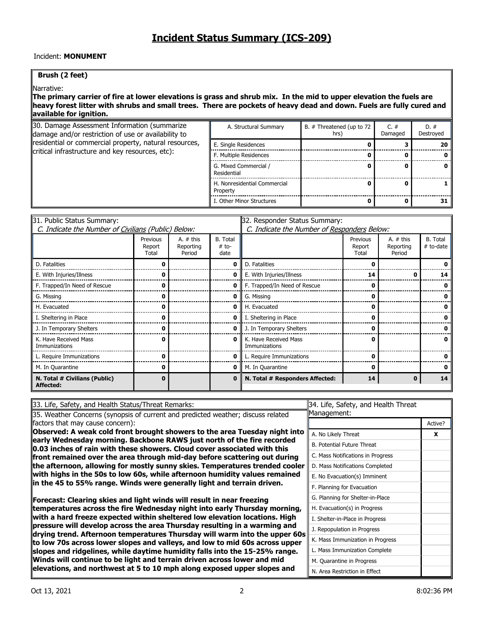### Incident: **MONUMENT**

#### **Brush (2 feet)**

Narrative:

#### **The primary carrier of fire at lower elevations is grass and shrub mix. In the mid to upper elevation the fuels are heavy forest litter with shrubs and small trees. There are pockets of heavy dead and down. Fuels are fully cured and available for ignition.**

| 30. Damage Assessment Information (summarize<br>damage and/or restriction of use or availability to | A. Structural Summary                    | B. # Threatened (up to 72<br>hrs) | $C_{\cdot}$ #<br>Damaged | $D.$ #<br>Destroyed |
|-----------------------------------------------------------------------------------------------------|------------------------------------------|-----------------------------------|--------------------------|---------------------|
| residential or commercial property, natural resources,                                              | E. Single Residences                     |                                   |                          |                     |
| critical infrastructure and key resources, etc):                                                    | F. Multiple Residences                   |                                   |                          |                     |
|                                                                                                     | G. Mixed Commercial /<br>Residential     |                                   |                          |                     |
|                                                                                                     | H. Nonresidential Commercial<br>Property |                                   |                          |                     |
|                                                                                                     | . Other Minor Structures                 |                                   |                          |                     |

| 31. Public Status Summary:                          |                             |                                    | 32. Responder Status Summary: |                                             |                             |                                    |                              |  |  |  |
|-----------------------------------------------------|-----------------------------|------------------------------------|-------------------------------|---------------------------------------------|-----------------------------|------------------------------------|------------------------------|--|--|--|
| C. Indicate the Number of Civilians (Public) Below: |                             |                                    |                               | C. Indicate the Number of Responders Below: |                             |                                    |                              |  |  |  |
|                                                     | Previous<br>Report<br>Total | A. $#$ this<br>Reporting<br>Period | B. Total<br>$# to-$<br>date   |                                             | Previous<br>Report<br>Total | A. $#$ this<br>Reporting<br>Period | <b>B.</b> Total<br># to-date |  |  |  |
| D. Fatalities                                       |                             |                                    | 0                             | D. Fatalities                               |                             |                                    |                              |  |  |  |
| E. With Injuries/Illness                            |                             |                                    | 0                             | E. With Injuries/Illness                    | 14                          |                                    | 14                           |  |  |  |
| F. Trapped/In Need of Rescue                        |                             |                                    | 0                             | F. Trapped/In Need of Rescue                |                             |                                    |                              |  |  |  |
| G. Missing                                          |                             |                                    | 0                             | G. Missing                                  |                             |                                    |                              |  |  |  |
| H. Evacuated                                        |                             |                                    | 0                             | H. Evacuated                                |                             |                                    |                              |  |  |  |
| I. Sheltering in Place                              |                             |                                    | 0                             | I. Sheltering in Place                      |                             |                                    |                              |  |  |  |
| J. In Temporary Shelters                            |                             |                                    | 0                             | J. In Temporary Shelters                    |                             |                                    |                              |  |  |  |
| K. Have Received Mass<br>Immunizations              |                             |                                    | $\Omega$                      | K. Have Received Mass<br>Immunizations      |                             |                                    |                              |  |  |  |
| L. Require Immunizations                            |                             |                                    | 0                             | L. Require Immunizations                    |                             |                                    |                              |  |  |  |
| M. In Quarantine                                    | n                           |                                    | 0                             | M. In Quarantine                            |                             |                                    |                              |  |  |  |
| N. Total # Civilians (Public)<br>Affected:          |                             |                                    | 0                             | N. Total # Responders Affected:             | 14                          | 0                                  | 14                           |  |  |  |

| 33. Life, Safety, and Health Status/Threat Remarks:                                                                                                            | 34. Life, Safety, and Health Threat |         |  |  |  |
|----------------------------------------------------------------------------------------------------------------------------------------------------------------|-------------------------------------|---------|--|--|--|
| 35. Weather Concerns (synopsis of current and predicted weather; discuss related                                                                               | Management:                         |         |  |  |  |
| factors that may cause concern):                                                                                                                               |                                     | Active? |  |  |  |
| Observed: A weak cold front brought showers to the area Tuesday night into                                                                                     | A. No Likely Threat                 | X       |  |  |  |
| early Wednesday morning. Backbone RAWS just north of the fire recorded<br>$\textsf{I}0.03$ inches of rain with these showers. Cloud cover associated with this | <b>B. Potential Future Threat</b>   |         |  |  |  |
| $\parallel$ front remained over the area through mid-day before scattering out during                                                                          | C. Mass Notifications in Progress   |         |  |  |  |
| the afternoon, allowing for mostly sunny skies. Temperatures trended cooler                                                                                    | D. Mass Notifications Completed     |         |  |  |  |
| with highs in the 50s to low 60s, while afternoon humidity values remained                                                                                     | E. No Evacuation(s) Imminent        |         |  |  |  |
| in the 45 to 55% range. Winds were generally light and terrain driven.                                                                                         | F. Planning for Evacuation          |         |  |  |  |
| Forecast: Clearing skies and light winds will result in near freezing                                                                                          | G. Planning for Shelter-in-Place    |         |  |  |  |
| temperatures across the fire Wednesday night into early Thursday morning,                                                                                      | H. Evacuation(s) in Progress        |         |  |  |  |
| with a hard freeze expected within sheltered low elevation locations. High                                                                                     | I. Shelter-in-Place in Progress     |         |  |  |  |
| $ $ pressure will develop across the area Thursday resulting in a warming and<br>drying trend. Afternoon temperatures Thursday will warm into the upper 60s    | J. Repopulation in Progress         |         |  |  |  |
| to low 70s across lower slopes and valleys, and low to mid 60s across upper                                                                                    | K. Mass Immunization in Progress    |         |  |  |  |
| slopes and ridgelines, while daytime humidity falls into the 15-25% range.                                                                                     | L. Mass Immunization Complete       |         |  |  |  |
| Winds will continue to be light and terrain driven across lower and mid                                                                                        | M. Quarantine in Progress           |         |  |  |  |
| elevations, and northwest at 5 to 10 mph along exposed upper slopes and                                                                                        | N. Area Restriction in Effect       |         |  |  |  |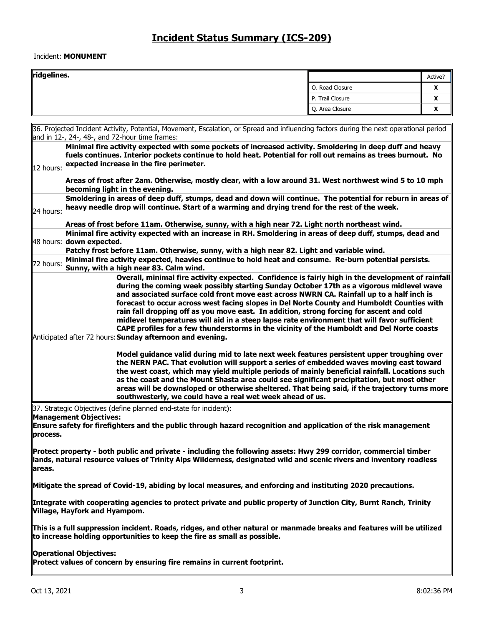#### Incident: **MONUMENT**

| ridgelines. |                  | Active?           |
|-------------|------------------|-------------------|
|             | O. Road Closure  | v<br>́            |
|             | P. Trail Closure | v<br>Δ            |
|             | Q. Area Closure  | $\mathbf{v}$<br>Δ |

36. Projected Incident Activity, Potential, Movement, Escalation, or Spread and influencing factors during the next operational period and in 12-, 24-, 48-, and 72-hour time frames: 12 hours: **Minimal fire activity expected with some pockets of increased activity. Smoldering in deep duff and heavy fuels continues. Interior pockets continue to hold heat. Potential for roll out remains as trees burnout. No expected increase in the fire perimeter. Areas of frost after 2am. Otherwise, mostly clear, with a low around 31. West northwest wind 5 to 10 mph becoming light in the evening.** 24 hours: **Smoldering in areas of deep duff, stumps, dead and down will continue. The potential for reburn in areas of heavy needle drop will continue. Start of a warming and drying trend for the rest of the week. Areas of frost before 11am. Otherwise, sunny, with a high near 72. Light north northeast wind.** 48 hours: **down expected. Minimal fire activity expected with an increase in RH. Smoldering in areas of deep duff, stumps, dead and Patchy frost before 11am. Otherwise, sunny, with a high near 82. Light and variable wind.** 72 hours: **Minimal fire activity expected, heavies continue to hold heat and consume. Re-burn potential persists. Sunny, with a high near 83. Calm wind.** Anticipated after 72 hours: **Sunday afternoon and evening. Overall, minimal fire activity expected. Confidence is fairly high in the development of rainfall during the coming week possibly starting Sunday October 17th as a vigorous midlevel wave and associated surface cold front move east across NWRN CA. Rainfall up to a half inch is forecast to occur across west facing slopes in Del Norte County and Humboldt Counties with rain fall dropping off as you move east. In addition, strong forcing for ascent and cold midlevel temperatures will aid in a steep lapse rate environment that will favor sufficient CAPE profiles for a few thunderstorms in the vicinity of the Humboldt and Del Norte coasts Model guidance valid during mid to late next week features persistent upper troughing over the NERN PAC. That evolution will support a series of embedded waves moving east toward the west coast, which may yield multiple periods of mainly beneficial rainfall. Locations such as the coast and the Mount Shasta area could see significant precipitation, but most other areas will be downsloped or otherwise sheltered. That being said, if the trajectory turns more southwesterly, we could have a real wet week ahead of us.**

37. Strategic Objectives (define planned end-state for incident): **Management Objectives:** 

**Ensure safety for firefighters and the public through hazard recognition and application of the risk management process.** 

**Protect property - both public and private - including the following assets: Hwy 299 corridor, commercial timber lands, natural resource values of Trinity Alps Wilderness, designated wild and scenic rivers and inventory roadless areas.** 

**Mitigate the spread of Covid-19, abiding by local measures, and enforcing and instituting 2020 precautions.** 

**Integrate with cooperating agencies to protect private and public property of Junction City, Burnt Ranch, Trinity Village, Hayfork and Hyampom.** 

**This is a full suppression incident. Roads, ridges, and other natural or manmade breaks and features will be utilized to increase holding opportunities to keep the fire as small as possible.** 

**Operational Objectives:** 

Protect values of concern by ensuring fire remains in current footprint.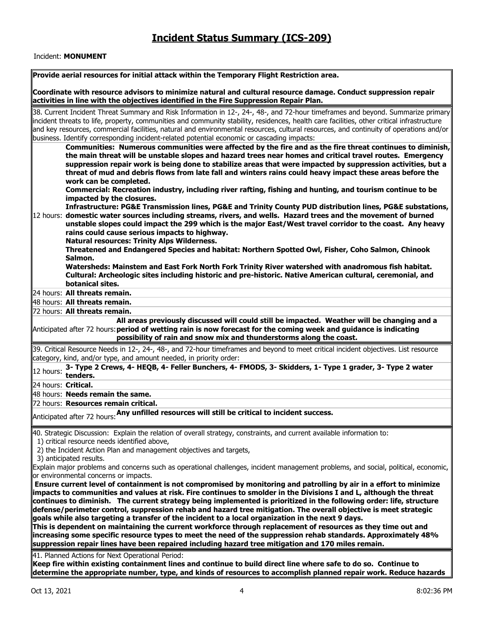#### Incident: **MONUMENT**

|                     | Provide aerial resources for initial attack within the Temporary Flight Restriction area.                                                                                                                                                                                                                                                                                                                                                                                                                                                                                                                               |
|---------------------|-------------------------------------------------------------------------------------------------------------------------------------------------------------------------------------------------------------------------------------------------------------------------------------------------------------------------------------------------------------------------------------------------------------------------------------------------------------------------------------------------------------------------------------------------------------------------------------------------------------------------|
|                     | Coordinate with resource advisors to minimize natural and cultural resource damage. Conduct suppression repair                                                                                                                                                                                                                                                                                                                                                                                                                                                                                                          |
|                     | activities in line with the objectives identified in the Fire Suppression Repair Plan.                                                                                                                                                                                                                                                                                                                                                                                                                                                                                                                                  |
|                     | 38. Current Incident Threat Summary and Risk Information in 12-, 24-, 48-, and 72-hour timeframes and beyond. Summarize primary<br>incident threats to life, property, communities and community stability, residences, health care facilities, other critical infrastructure<br>and key resources, commercial facilities, natural and environmental resources, cultural resources, and continuity of operations and/or                                                                                                                                                                                                 |
|                     | business. Identify corresponding incident-related potential economic or cascading impacts:                                                                                                                                                                                                                                                                                                                                                                                                                                                                                                                              |
|                     | Communities: Numerous communities were affected by the fire and as the fire threat continues to diminish,<br>the main threat will be unstable slopes and hazard trees near homes and critical travel routes. Emergency<br>suppression repair work is being done to stabilize areas that were impacted by suppression activities, but a<br>threat of mud and debris flows from late fall and winters rains could heavy impact these areas before the<br>work can be completed.<br>Commercial: Recreation industry, including river rafting, fishing and hunting, and tourism continue to be<br>impacted by the closures. |
|                     | Infrastructure: PG&E Transmission lines, PG&E and Trinity County PUD distribution lines, PG&E substations,<br>12 hours: domestic water sources including streams, rivers, and wells. Hazard trees and the movement of burned<br>unstable slopes could impact the 299 which is the major East/West travel corridor to the coast. Any heavy<br>rains could cause serious impacts to highway.<br><b>Natural resources: Trinity Alps Wilderness.</b>                                                                                                                                                                        |
|                     | Threatened and Endangered Species and habitat: Northern Spotted Owl, Fisher, Coho Salmon, Chinook<br>Salmon.                                                                                                                                                                                                                                                                                                                                                                                                                                                                                                            |
|                     | Watersheds: Mainstem and East Fork North Fork Trinity River watershed with anadromous fish habitat.<br>Cultural: Archeologic sites including historic and pre-historic. Native American cultural, ceremonial, and<br>botanical sites.                                                                                                                                                                                                                                                                                                                                                                                   |
|                     | 24 hours: All threats remain.                                                                                                                                                                                                                                                                                                                                                                                                                                                                                                                                                                                           |
|                     | 48 hours: All threats remain.                                                                                                                                                                                                                                                                                                                                                                                                                                                                                                                                                                                           |
|                     | 72 hours: All threats remain.                                                                                                                                                                                                                                                                                                                                                                                                                                                                                                                                                                                           |
|                     | All areas previously discussed will could still be impacted. Weather will be changing and a<br>Anticipated after 72 hours: period of wetting rain is now forecast for the coming week and guidance is indicating<br>possibility of rain and snow mix and thunderstorms along the coast.                                                                                                                                                                                                                                                                                                                                 |
|                     | 39. Critical Resource Needs in 12-, 24-, 48-, and 72-hour timeframes and beyond to meet critical incident objectives. List resource<br>category, kind, and/or type, and amount needed, in priority order:                                                                                                                                                                                                                                                                                                                                                                                                               |
| 12 hours:           | 3- Type 2 Crews, 4- HEQB, 4- Feller Bunchers, 4- FMODS, 3- Skidders, 1- Type 1 grader, 3- Type 2 water<br>tenders.                                                                                                                                                                                                                                                                                                                                                                                                                                                                                                      |
| 24 hours: Critical. |                                                                                                                                                                                                                                                                                                                                                                                                                                                                                                                                                                                                                         |
|                     | 48 hours: Needs remain the same.                                                                                                                                                                                                                                                                                                                                                                                                                                                                                                                                                                                        |
|                     | 72 hours: Resources remain critical.                                                                                                                                                                                                                                                                                                                                                                                                                                                                                                                                                                                    |
|                     | $\parallel$ Anticipated after 72 hours: Any unfilled resources will still be critical to incident success.                                                                                                                                                                                                                                                                                                                                                                                                                                                                                                              |
|                     | 40. Strategic Discussion: Explain the relation of overall strategy, constraints, and current available information to:<br>1) critical resource needs identified above,                                                                                                                                                                                                                                                                                                                                                                                                                                                  |
|                     | 2) the Incident Action Plan and management objectives and targets,<br>3) anticipated results.                                                                                                                                                                                                                                                                                                                                                                                                                                                                                                                           |
|                     | Explain major problems and concerns such as operational challenges, incident management problems, and social, political, economic,                                                                                                                                                                                                                                                                                                                                                                                                                                                                                      |
|                     | or environmental concerns or impacts.<br>Ensure current level of containment is not compromised by monitoring and patrolling by air in a effort to minimize<br>impacts to communities and values at risk. Fire continues to smolder in the Divisions I and L, although the threat<br>continues to diminish. The current strategy being implemented is prioritized in the following order: life, structure                                                                                                                                                                                                               |
|                     | defense/perimeter control, suppression rehab and hazard tree mitigation. The overall objective is meet strategic<br>goals while also targeting a transfer of the incident to a local organization in the next 9 days.<br>This is dependent on maintaining the current workforce through replacement of resources as they time out and<br>increasing some specific resource types to meet the need of the suppression rehab standards. Approximately 48%<br>suppression repair lines have been repaired including hazard tree mitigation and 170 miles remain.                                                           |
|                     |                                                                                                                                                                                                                                                                                                                                                                                                                                                                                                                                                                                                                         |

41. Planned Actions for Next Operational Period:

**Keep fire within existing containment lines and continue to build direct line where safe to do so. Continue to determine the appropriate number, type, and kinds of resources to accomplish planned repair work. Reduce hazards**